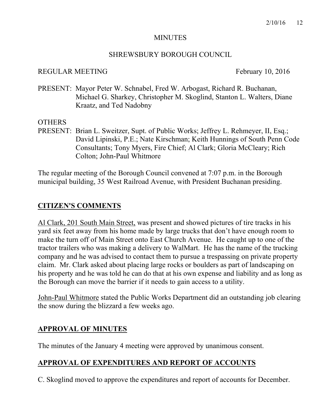#### MINUTES

#### SHREWSBURY BOROUGH COUNCIL

#### REGULAR MEETING February 10, 2016

PRESENT: Mayor Peter W. Schnabel, Fred W. Arbogast, Richard R. Buchanan, Michael G. Sharkey, Christopher M. Skoglind, Stanton L. Walters, Diane Kraatz, and Ted Nadobny

# OTHERS

PRESENT: Brian L. Sweitzer, Supt. of Public Works; Jeffrey L. Rehmeyer, II, Esq.; David Lipinski, P.E.; Nate Kirschman; Keith Hunnings of South Penn Code Consultants; Tony Myers, Fire Chief; Al Clark; Gloria McCleary; Rich Colton; John-Paul Whitmore

The regular meeting of the Borough Council convened at 7:07 p.m. in the Borough municipal building, 35 West Railroad Avenue, with President Buchanan presiding.

# **CITIZEN'S COMMENTS**

Al Clark, 201 South Main Street, was present and showed pictures of tire tracks in his yard six feet away from his home made by large trucks that don't have enough room to make the turn off of Main Street onto East Church Avenue. He caught up to one of the tractor trailers who was making a delivery to WalMart. He has the name of the trucking company and he was advised to contact them to pursue a trespassing on private property claim. Mr. Clark asked about placing large rocks or boulders as part of landscaping on his property and he was told he can do that at his own expense and liability and as long as the Borough can move the barrier if it needs to gain access to a utility.

John-Paul Whitmore stated the Public Works Department did an outstanding job clearing the snow during the blizzard a few weeks ago.

# **APPROVAL OF MINUTES**

The minutes of the January 4 meeting were approved by unanimous consent.

# **APPROVAL OF EXPENDITURES AND REPORT OF ACCOUNTS**

C. Skoglind moved to approve the expenditures and report of accounts for December.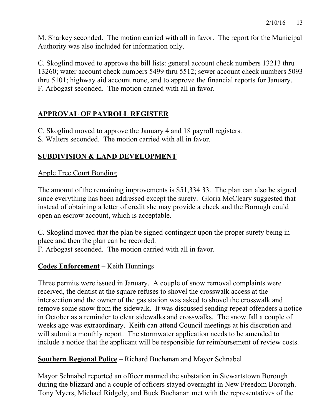M. Sharkey seconded. The motion carried with all in favor. The report for the Municipal Authority was also included for information only.

C. Skoglind moved to approve the bill lists: general account check numbers 13213 thru 13260; water account check numbers 5499 thru 5512; sewer account check numbers 5093 thru 5101; highway aid account none, and to approve the financial reports for January. F. Arbogast seconded. The motion carried with all in favor.

# **APPROVAL OF PAYROLL REGISTER**

C. Skoglind moved to approve the January 4 and 18 payroll registers.

S. Walters seconded. The motion carried with all in favor.

# **SUBDIVISION & LAND DEVELOPMENT**

# Apple Tree Court Bonding

The amount of the remaining improvements is \$51,334.33. The plan can also be signed since everything has been addressed except the surety. Gloria McCleary suggested that instead of obtaining a letter of credit she may provide a check and the Borough could open an escrow account, which is acceptable.

C. Skoglind moved that the plan be signed contingent upon the proper surety being in place and then the plan can be recorded.

F. Arbogast seconded. The motion carried with all in favor.

# **Codes Enforcement** – Keith Hunnings

Three permits were issued in January. A couple of snow removal complaints were received, the dentist at the square refuses to shovel the crosswalk access at the intersection and the owner of the gas station was asked to shovel the crosswalk and remove some snow from the sidewalk. It was discussed sending repeat offenders a notice in October as a reminder to clear sidewalks and crosswalks. The snow fall a couple of weeks ago was extraordinary. Keith can attend Council meetings at his discretion and will submit a monthly report. The stormwater application needs to be amended to include a notice that the applicant will be responsible for reimbursement of review costs.

# **Southern Regional Police** – Richard Buchanan and Mayor Schnabel

Mayor Schnabel reported an officer manned the substation in Stewartstown Borough during the blizzard and a couple of officers stayed overnight in New Freedom Borough. Tony Myers, Michael Ridgely, and Buck Buchanan met with the representatives of the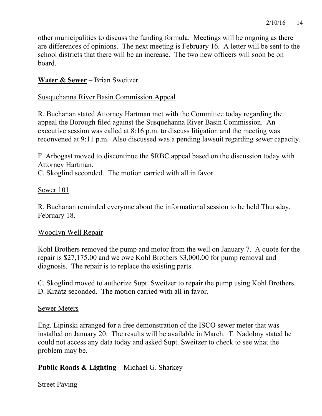other municipalities to discuss the funding formula. Meetings will be ongoing as there are differences of opinions. The next meeting is February 16. A letter will be sent to the school districts that there will be an increase. The two new officers will soon be on board.

# **Water & Sewer** – Brian Sweitzer

# Susquehanna River Basin Commission Appeal

R. Buchanan stated Attorney Hartman met with the Committee today regarding the appeal the Borough filed against the Susquehanna River Basin Commission. An executive session was called at 8:16 p.m. to discuss litigation and the meeting was reconvened at 9:11 p.m. Also discussed was a pending lawsuit regarding sewer capacity.

F. Arbogast moved to discontinue the SRBC appeal based on the discussion today with Attorney Hartman.

C. Skoglind seconded. The motion carried with all in favor.

# Sewer 101

R. Buchanan reminded everyone about the informational session to be held Thursday, February 18.

# Woodlyn Well Repair

Kohl Brothers removed the pump and motor from the well on January 7. A quote for the repair is \$27,175.00 and we owe Kohl Brothers \$3,000.00 for pump removal and diagnosis. The repair is to replace the existing parts.

C. Skoglind moved to authorize Supt. Sweitzer to repair the pump using Kohl Brothers. D. Kraatz seconded. The motion carried with all in favor.

# Sewer Meters

Eng. Lipinski arranged for a free demonstration of the ISCO sewer meter that was installed on January 20. The results will be available in March. T. Nadobny stated he could not access any data today and asked Supt. Sweitzer to check to see what the problem may be.

# **Public Roads & Lighting** – Michael G. Sharkey

# Street Paving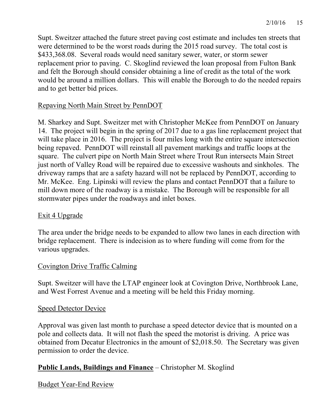Supt. Sweitzer attached the future street paving cost estimate and includes ten streets that were determined to be the worst roads during the 2015 road survey. The total cost is \$433,368.08. Several roads would need sanitary sewer, water, or storm sewer replacement prior to paving. C. Skoglind reviewed the loan proposal from Fulton Bank and felt the Borough should consider obtaining a line of credit as the total of the work would be around a million dollars. This will enable the Borough to do the needed repairs and to get better bid prices.

# Repaving North Main Street by PennDOT

M. Sharkey and Supt. Sweitzer met with Christopher McKee from PennDOT on January 14. The project will begin in the spring of 2017 due to a gas line replacement project that will take place in 2016. The project is four miles long with the entire square intersection being repaved. PennDOT will reinstall all pavement markings and traffic loops at the square. The culvert pipe on North Main Street where Trout Run intersects Main Street just north of Valley Road will be repaired due to excessive washouts and sinkholes. The driveway ramps that are a safety hazard will not be replaced by PennDOT, according to Mr. McKee. Eng. Lipinski will review the plans and contact PennDOT that a failure to mill down more of the roadway is a mistake. The Borough will be responsible for all stormwater pipes under the roadways and inlet boxes.

# Exit 4 Upgrade

The area under the bridge needs to be expanded to allow two lanes in each direction with bridge replacement. There is indecision as to where funding will come from for the various upgrades.

# Covington Drive Traffic Calming

Supt. Sweitzer will have the LTAP engineer look at Covington Drive, Northbrook Lane, and West Forrest Avenue and a meeting will be held this Friday morning.

# Speed Detector Device

Approval was given last month to purchase a speed detector device that is mounted on a pole and collects data. It will not flash the speed the motorist is driving. A price was obtained from Decatur Electronics in the amount of \$2,018.50. The Secretary was given permission to order the device.

# **Public Lands, Buildings and Finance** – Christopher M. Skoglind

# Budget Year-End Review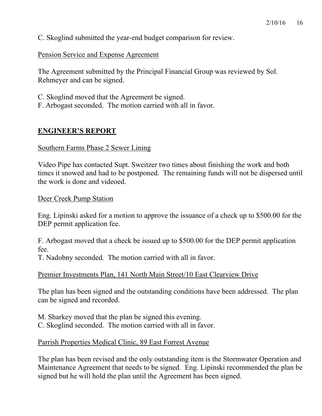C. Skoglind submitted the year-end budget comparison for review.

Pension Service and Expense Agreement

The Agreement submitted by the Principal Financial Group was reviewed by Sol. Rehmeyer and can be signed.

C. Skoglind moved that the Agreement be signed.

F. Arbogast seconded. The motion carried with all in favor.

# **ENGINEER'S REPORT**

#### Southern Farms Phase 2 Sewer Lining

Video Pipe has contacted Supt. Sweitzer two times about finishing the work and both times it snowed and had to be postponed. The remaining funds will not be dispersed until the work is done and videoed.

Deer Creek Pump Station

Eng. Lipinski asked for a motion to approve the issuance of a check up to \$500.00 for the DEP permit application fee.

F. Arbogast moved that a check be issued up to \$500.00 for the DEP permit application fee.

T. Nadobny seconded. The motion carried with all in favor.

Premier Investments Plan, 141 North Main Street/10 East Clearview Drive

The plan has been signed and the outstanding conditions have been addressed. The plan can be signed and recorded.

M. Sharkey moved that the plan be signed this evening. C. Skoglind seconded. The motion carried with all in favor.

# Parrish Properties Medical Clinic, 89 East Forrest Avenue

The plan has been revised and the only outstanding item is the Stormwater Operation and Maintenance Agreement that needs to be signed. Eng. Lipinski recommended the plan be signed but he will hold the plan until the Agreement has been signed.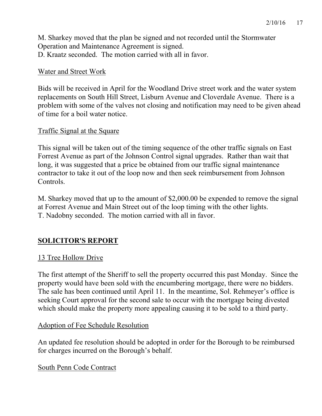M. Sharkey moved that the plan be signed and not recorded until the Stormwater Operation and Maintenance Agreement is signed. D. Kraatz seconded. The motion carried with all in favor.

# Water and Street Work

Bids will be received in April for the Woodland Drive street work and the water system replacements on South Hill Street, Lisburn Avenue and Cloverdale Avenue. There is a problem with some of the valves not closing and notification may need to be given ahead of time for a boil water notice.

# Traffic Signal at the Square

This signal will be taken out of the timing sequence of the other traffic signals on East Forrest Avenue as part of the Johnson Control signal upgrades. Rather than wait that long, it was suggested that a price be obtained from our traffic signal maintenance contractor to take it out of the loop now and then seek reimbursement from Johnson Controls.

M. Sharkey moved that up to the amount of \$2,000.00 be expended to remove the signal at Forrest Avenue and Main Street out of the loop timing with the other lights. T. Nadobny seconded. The motion carried with all in favor.

# **SOLICITOR'S REPORT**

# 13 Tree Hollow Drive

The first attempt of the Sheriff to sell the property occurred this past Monday. Since the property would have been sold with the encumbering mortgage, there were no bidders. The sale has been continued until April 11. In the meantime, Sol. Rehmeyer's office is seeking Court approval for the second sale to occur with the mortgage being divested which should make the property more appealing causing it to be sold to a third party.

# Adoption of Fee Schedule Resolution

An updated fee resolution should be adopted in order for the Borough to be reimbursed for charges incurred on the Borough's behalf.

South Penn Code Contract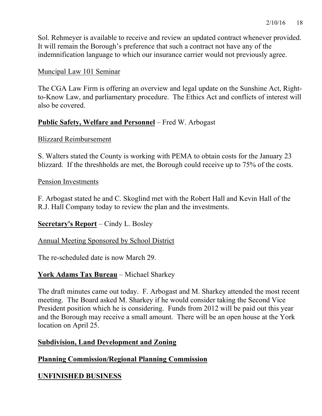Sol. Rehmeyer is available to receive and review an updated contract whenever provided. It will remain the Borough's preference that such a contract not have any of the indemnification language to which our insurance carrier would not previously agree.

# Muncipal Law 101 Seminar

The CGA Law Firm is offering an overview and legal update on the Sunshine Act, Rightto-Know Law, and parliamentary procedure. The Ethics Act and conflicts of interest will also be covered.

# **Public Safety, Welfare and Personnel** – Fred W. Arbogast

#### Blizzard Reimbursement

S. Walters stated the County is working with PEMA to obtain costs for the January 23 blizzard. If the threshholds are met, the Borough could receive up to 75% of the costs.

# Pension Investments

F. Arbogast stated he and C. Skoglind met with the Robert Hall and Kevin Hall of the R.J. Hall Company today to review the plan and the investments.

# **Secretary's Report** – Cindy L. Bosley

# Annual Meeting Sponsored by School District

The re-scheduled date is now March 29.

# **York Adams Tax Bureau** – Michael Sharkey

The draft minutes came out today. F. Arbogast and M. Sharkey attended the most recent meeting. The Board asked M. Sharkey if he would consider taking the Second Vice President position which he is considering. Funds from 2012 will be paid out this year and the Borough may receive a small amount. There will be an open house at the York location on April 25.

# **Subdivision, Land Development and Zoning**

# **Planning Commission/Regional Planning Commission**

# **UNFINISHED BUSINESS**